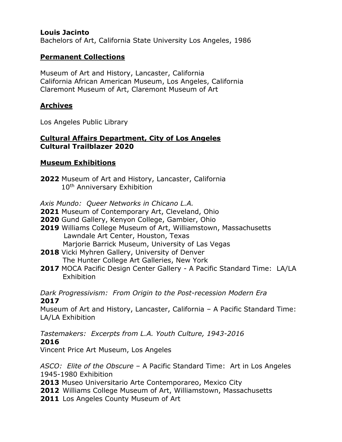#### **Louis Jacinto**

Bachelors of Art, California State University Los Angeles, 1986

#### **Permanent Collections**

Museum of Art and History, Lancaster, California California African American Museum, Los Angeles, California Claremont Museum of Art, Claremont Museum of Art

#### **Archives**

Los Angeles Public Library

#### **Cultural Affairs Department, City of Los Angeles Cultural Trailblazer 2020**

#### **Museum Exhibitions**

**2022** Museum of Art and History, Lancaster, California 10<sup>th</sup> Anniversary Exhibition

*Axis Mundo: Queer Networks in Chicano L.A.*

**2021** Museum of Contemporary Art, Cleveland, Ohio

- **2020** Gund Gallery, Kenyon College, Gambier, Ohio
- **2019** Williams College Museum of Art, Williamstown, Massachusetts Lawndale Art Center, Houston, Texas Marjorie Barrick Museum, University of Las Vegas
- **2018** Vicki Myhren Gallery, University of Denver The Hunter College Art Galleries, New York
- **2017** MOCA Pacific Design Center Gallery A Pacific Standard Time: LA/LA **Exhibition**

*Dark Progressivism: From Origin to the Post-recession Modern Era* **2017**

Museum of Art and History, Lancaster, California – A Pacific Standard Time: LA/LA Exhibition

*Tastemakers: Excerpts from L.A. Youth Culture, 1943-2016* **2016**

Vincent Price Art Museum, Los Angeles

*ASCO: Elite of the Obscure* – A Pacific Standard Time: Art in Los Angeles 1945-1980 Exhibition

**2013** Museo Universitario Arte Contemporareo, Mexico City

**2012** Williams College Museum of Art, Williamstown, Massachusetts

**2011** Los Angeles County Museum of Art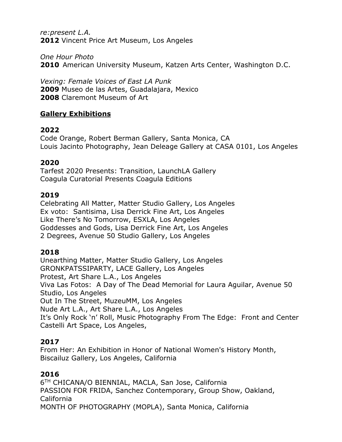*re:present L.A.* **2012** Vincent Price Art Museum, Los Angeles

*One Hour Photo* **2010** American University Museum, Katzen Arts Center, Washington D.C.

*Vexing: Female Voices of East LA Punk* **2009** Museo de las Artes, Guadalajara, Mexico **2008** Claremont Museum of Art

## **Gallery Exhibitions**

### **2022**

Code Orange, Robert Berman Gallery, Santa Monica, CA Louis Jacinto Photography, Jean Deleage Gallery at CASA 0101, Los Angeles

### **2020**

Tarfest 2020 Presents: Transition, LaunchLA Gallery Coagula Curatorial Presents Coagula Editions

#### **2019**

Celebrating All Matter, Matter Studio Gallery, Los Angeles Ex voto: Santisima, Lisa Derrick Fine Art, Los Angeles Like There's No Tomorrow, ESXLA, Los Angeles Goddesses and Gods, Lisa Derrick Fine Art, Los Angeles 2 Degrees, Avenue 50 Studio Gallery, Los Angeles

### **2018**

Unearthing Matter, Matter Studio Gallery, Los Angeles GRONKPATSSIPARTY, LACE Gallery, Los Angeles Protest, Art Share L.A., Los Angeles Viva Las Fotos: A Day of The Dead Memorial for Laura Aguilar, Avenue 50 Studio, Los Angeles Out In The Street, MuzeuMM, Los Angeles Nude Art L.A., Art Share L.A., Los Angeles It's Only Rock 'n' Roll, Music Photography From The Edge: Front and Center Castelli Art Space, Los Angeles,

### **2017**

From Her: An Exhibition in Honor of National Women's History Month, Biscailuz Gallery, Los Angeles, California

### **2016**

6 TH CHICANA/O BIENNIAL, MACLA, San Jose, California PASSION FOR FRIDA, Sanchez Contemporary, Group Show, Oakland, California MONTH OF PHOTOGRAPHY (MOPLA), Santa Monica, California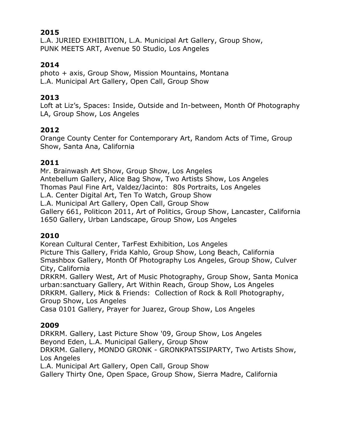#### **2015**

L.A. JURIED EXHIBITION, L.A. Municipal Art Gallery, Group Show, PUNK MEETS ART, Avenue 50 Studio, Los Angeles

### **2014**

photo + axis, Group Show, Mission Mountains, Montana L.A. Municipal Art Gallery, Open Call, Group Show

#### **2013**

Loft at Liz's, Spaces: Inside, Outside and In-between, Month Of Photography LA, Group Show, Los Angeles

### **2012**

Orange County Center for Contemporary Art, Random Acts of Time, Group Show, Santa Ana, California

### **2011**

Mr. Brainwash Art Show, Group Show, Los Angeles Antebellum Gallery, Alice Bag Show, Two Artists Show, Los Angeles Thomas Paul Fine Art, Valdez/Jacinto: 80s Portraits, Los Angeles L.A. Center Digital Art, Ten To Watch, Group Show L.A. Municipal Art Gallery, Open Call, Group Show Gallery 661, Politicon 2011, Art of Politics, Group Show, Lancaster, California 1650 Gallery, Urban Landscape, Group Show, Los Angeles

### **2010**

Korean Cultural Center, TarFest Exhibition, Los Angeles Picture This Gallery, Frida Kahlo, Group Show, Long Beach, California

Smashbox Gallery, Month Of Photography Los Angeles, Group Show, Culver City, California

DRKRM. Gallery West, Art of Music Photography, Group Show, Santa Monica urban:sanctuary Gallery, Art Within Reach, Group Show, Los Angeles DRKRM. Gallery, Mick & Friends: Collection of Rock & Roll Photography, Group Show, Los Angeles

Casa 0101 Gallery, Prayer for Juarez, Group Show, Los Angeles

### **2009**

DRKRM. Gallery, Last Picture Show '09, Group Show, Los Angeles Beyond Eden, L.A. Municipal Gallery, Group Show DRKRM. Gallery, MONDO GRONK - GRONKPATSSIPARTY, Two Artists Show, Los Angeles

L.A. Municipal Art Gallery, Open Call, Group Show

Gallery Thirty One, Open Space, Group Show, Sierra Madre, California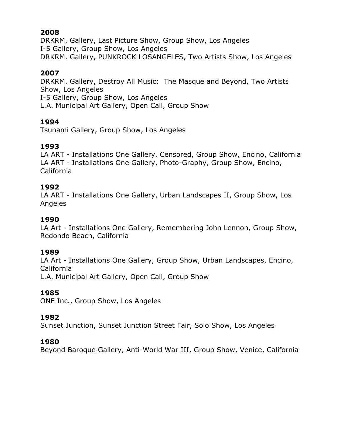## **2008**

DRKRM. Gallery, Last Picture Show, Group Show, Los Angeles I-5 Gallery, Group Show, Los Angeles DRKRM. Gallery, PUNKROCK LOSANGELES, Two Artists Show, Los Angeles

## **2007**

DRKRM. Gallery, Destroy All Music: The Masque and Beyond, Two Artists Show, Los Angeles I-5 Gallery, Group Show, Los Angeles L.A. Municipal Art Gallery, Open Call, Group Show

## **1994**

Tsunami Gallery, Group Show, Los Angeles

# **1993**

LA ART - Installations One Gallery, Censored, Group Show, Encino, California LA ART - Installations One Gallery, Photo-Graphy, Group Show, Encino, California

## **1992**

LA ART - Installations One Gallery, Urban Landscapes II, Group Show, Los Angeles

# **1990**

LA Art - Installations One Gallery, Remembering John Lennon, Group Show, Redondo Beach, California

### **1989**

LA Art - Installations One Gallery, Group Show, Urban Landscapes, Encino, California

L.A. Municipal Art Gallery, Open Call, Group Show

# **1985**

ONE Inc., Group Show, Los Angeles

# **1982**

Sunset Junction, Sunset Junction Street Fair, Solo Show, Los Angeles

# **1980**

Beyond Baroque Gallery, Anti-World War III, Group Show, Venice, California